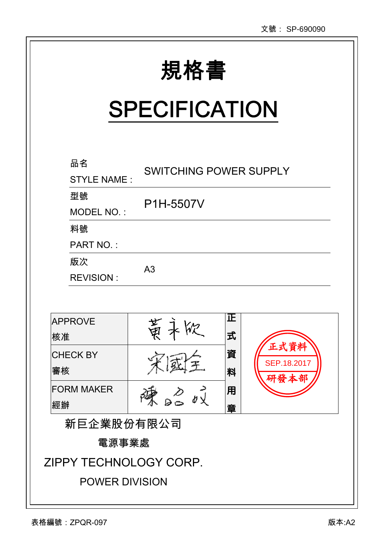|                          |                               |         | 又號: SP-6900!                |
|--------------------------|-------------------------------|---------|-----------------------------|
|                          | 規格書<br><b>SPECIFICATION</b>   |         |                             |
| 品名<br><b>STYLE NAME:</b> | <b>SWITCHING POWER SUPPLY</b> |         |                             |
| 型號<br>MODEL NO.:         | P1H-5507V                     |         |                             |
| 料號<br><b>PART NO.:</b>   |                               |         |                             |
| 版次<br><b>REVISION:</b>   | A <sub>3</sub>                |         |                             |
|                          |                               |         |                             |
| <b>APPROVE</b><br> 核准    | 黄ネ欣                           | ΙŒ<br>式 |                             |
| <b>CHECK BY</b><br>審核    |                               | 資<br>料  | 正式資料<br>SEP.18.2017<br>研發本部 |
| <b>FORM MAKER</b><br>經辦  |                               | 用<br>章  |                             |

新巨企業股份有限公司

電源事業處

ZIPPY TECHNOLOGY CORP.

POWER DIVISION

 $\overline{a}$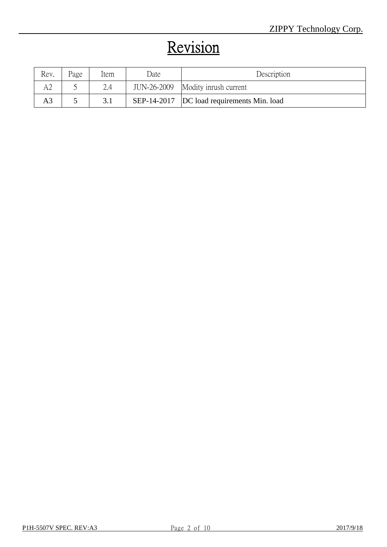# Revision

| Rev. | Page | Item | Date | Description                                 |
|------|------|------|------|---------------------------------------------|
|      |      | 2.4  |      | JUN-26-2009 Modity inrush current           |
| A3   |      | 3.1  |      | SEP-14-2017  DC load requirements Min. load |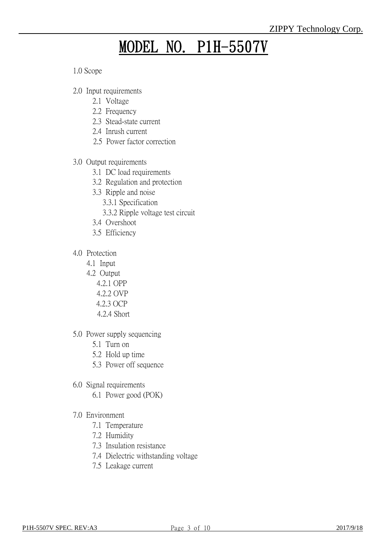# MODEL NO. P1H-5507V

1.0 Scope

- 2.0 Input requirements
	- 2.1 Voltage
	- 2.2 Frequency
	- 2.3 Stead-state current
	- 2.4 Inrush current
	- 2.5 Power factor correction
- 3.0 Output requirements
	- 3.1 DC load requirements
	- 3.2 Regulation and protection
	- 3.3 Ripple and noise
		- 3.3.1 Specification
		- 3.3.2 Ripple voltage test circuit
	- 3.4 Overshoot
	- 3.5 Efficiency
- 4.0 Protection
	- 4.1 Input
	- 4.2 Output
		- 4.2.1 OPP
		- 4.2.2 OVP
		- 4.2.3 OCP
		- 4.2.4 Short
- 5.0 Power supply sequencing
	- 5.1 Turn on
	- 5.2 Hold up time
	- 5.3 Power off sequence
- 6.0 Signal requirements
	- 6.1 Power good (POK)
- 7.0 Environment
	- 7.1 Temperature
	- 7.2 Humidity
	- 7.3 Insulation resistance
	- 7.4 Dielectric withstanding voltage
	- 7.5 Leakage current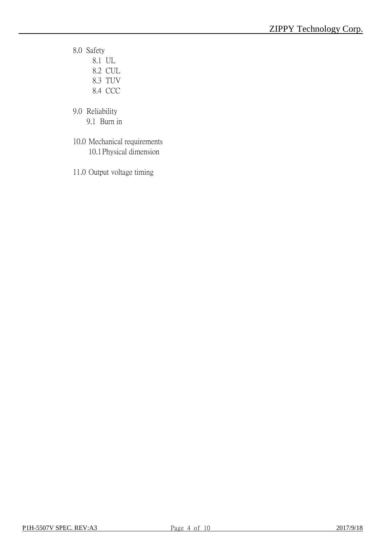- 8.0 Safety
	- 8.1 UL 8.2 CUL
	- 8.3 TUV
	- 8.4 CCC
- 9.0 Reliability
	- 9.1 Burn in
- 10.0 Mechanical requirements 10.1Physical dimension
- 11.0 Output voltage timing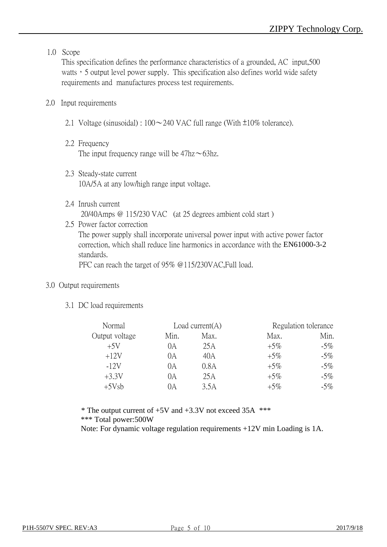## 1.0 Scope

This specification defines the performance characteristics of a grounded, AC input,500 watts, 5 output level power supply. This specification also defines world wide safety requirements and manufactures process test requirements.

## 2.0 Input requirements

- 2.1 Voltage (sinusoidal) :  $100 \sim 240$  VAC full range (With  $\pm 10\%$  tolerance).
- 2.2 Frequency The input frequency range will be  $47\text{hz} \sim 63\text{hz}$ .
- 2.3 Steady-state current 10A/5A at any low/high range input voltage.
- 2.4 Inrush current 20/40Amps @ 115/230 VAC (at 25 degrees ambient cold start )
- 2.5 Power factor correction The power supply shall incorporate universal power input with active power factor correction, which shall reduce line harmonics in accordance with the EN61000-3-2 standards.

PFC can reach the target of 95% @115/230VAC,Full load.

## 3.0 Output requirements

3.1 DC load requirements

| Normal         |      | Load current $(A)$ |        | Regulation tolerance |
|----------------|------|--------------------|--------|----------------------|
| Output voltage | Min. | Max.               | Max.   | Min.                 |
| $+5V$          | 0А   | 25 A               | $+5\%$ | $-5\%$               |
| $+12V$         | 0А   | 40A                | $+5\%$ | $-5\%$               |
| $-12V$         | 0A   | 0.8A               | $+5\%$ | $-5\%$               |
| $+3.3V$        | 0A   | 25A                | $+5\%$ | $-5\%$               |
| $+5Vsb$        | DА   | 3.5A               | $+5\%$ | $-5\%$               |

 $*$  The output current of  $+5V$  and  $+3.3V$  not exceed 35A  $***$ \*\*\* Total power:500W

Note: For dynamic voltage regulation requirements +12V min Loading is 1A.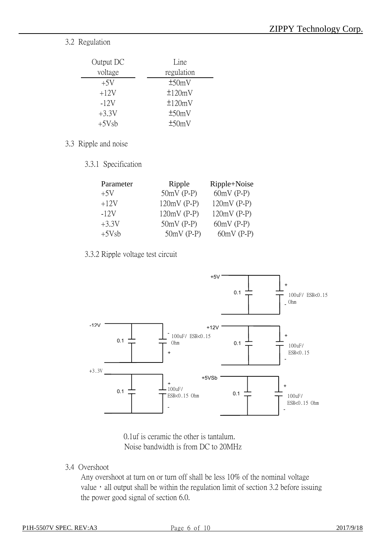## 3.2 Regulation

| Output DC | Line         |
|-----------|--------------|
| voltage   | regulation   |
| $+5V$     | ±50mV        |
| $+12V$    | ±120mV       |
| $-12V$    | $\pm 120$ mV |
| $+3.3V$   | ±50mV        |
| $+5Vsb$   | ±50mV        |

## 3.3 Ripple and noise

3.3.1 Specification

| Parameter | Ripple        | Ripple+Noise  |  |  |
|-----------|---------------|---------------|--|--|
| $+5V$     | $50mV$ (P-P)  | $60mV$ (P-P)  |  |  |
| $+12V$    | $120mV$ (P-P) | $120mV$ (P-P) |  |  |
| $-12V$    | $120mV$ (P-P) | $120mV$ (P-P) |  |  |
| $+3.3V$   | $50mV$ (P-P)  | $60mV$ (P-P)  |  |  |
| $+5Vsb$   | $50mV$ (P-P)  | $60mV$ (P-P)  |  |  |

## 3.3.2 Ripple voltage test circuit



0.1uf is ceramic the other is tantalum. Noise bandwidth is from DC to 20MHz

3.4 Overshoot

Any overshoot at turn on or turn off shall be less 10% of the nominal voltage value, all output shall be within the regulation limit of section 3.2 before issuing the power good signal of section 6.0.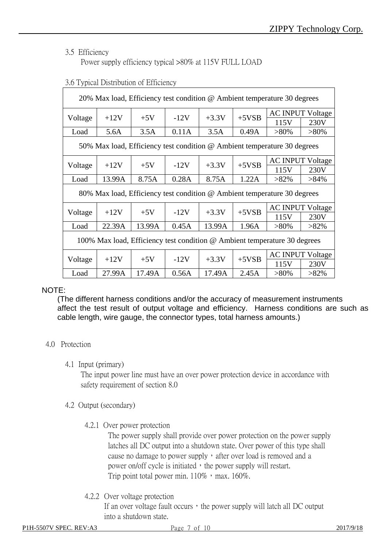## 3.5 Efficiency

Power supply efficiency typical >80% at 115V FULL LOAD

| 20% Max load, Efficiency test condition @ Ambient temperature 30 degrees  |                                                                          |        |        |         |         |                                                                          |                         |                         |
|---------------------------------------------------------------------------|--------------------------------------------------------------------------|--------|--------|---------|---------|--------------------------------------------------------------------------|-------------------------|-------------------------|
|                                                                           | $+12V$                                                                   | $+5V$  | $-12V$ | $+3.3V$ | $+5VSB$ | <b>AC INPUT Voltage</b>                                                  |                         |                         |
| Voltage                                                                   |                                                                          |        |        |         |         | 115V                                                                     | 230V                    |                         |
| Load                                                                      | 5.6A                                                                     | 3.5A   | 0.11A  | 3.5A    | 0.49A   | $>80\%$                                                                  | $>80\%$                 |                         |
|                                                                           |                                                                          |        |        |         |         | 50% Max load, Efficiency test condition @ Ambient temperature 30 degrees |                         |                         |
|                                                                           | $+12V$                                                                   |        | $-12V$ | $+3.3V$ | $+5VSB$ |                                                                          | <b>AC INPUT Voltage</b> |                         |
| Voltage                                                                   |                                                                          | $+5V$  |        |         |         | 115V                                                                     | 230V                    |                         |
| Load                                                                      | 13.99A                                                                   | 8.75A  | 0.28A  | 8.75A   | 1.22A   | $>82\%$                                                                  | $>84\%$                 |                         |
|                                                                           | 80% Max load, Efficiency test condition @ Ambient temperature 30 degrees |        |        |         |         |                                                                          |                         |                         |
|                                                                           |                                                                          |        |        |         | $+3.3V$ |                                                                          |                         | <b>AC INPUT Voltage</b> |
| Voltage                                                                   | $+12V$                                                                   | $+5V$  | $-12V$ |         | $+5VSB$ | 115V                                                                     | 230V                    |                         |
| Load                                                                      | 22.39A                                                                   | 13.99A | 0.45A  | 13.99A  | 1.96A   | $>80\%$                                                                  | $>82\%$                 |                         |
| 100% Max load, Efficiency test condition @ Ambient temperature 30 degrees |                                                                          |        |        |         |         |                                                                          |                         |                         |
| <b>AC INPUT Voltage</b>                                                   |                                                                          |        |        |         |         |                                                                          |                         |                         |
| Voltage                                                                   | $+12V$                                                                   | $+5V$  | $-12V$ | $+3.3V$ | $+5VSB$ | 115V                                                                     | 230V                    |                         |
| Load                                                                      | 27.99A                                                                   | 17.49A | 0.56A  | 17.49A  | 2.45A   | $>80\%$                                                                  | $>82\%$                 |                         |

## 3.6 Typical Distribution of Efficiency

## NOTE:

(The different harness conditions and/or the accuracy of measurement instruments affect the test result of output voltage and efficiency. Harness conditions are such as cable length, wire gauge, the connector types, total harness amounts.)

## 4.0 Protection

4.1 Input (primary)

The input power line must have an over power protection device in accordance with safety requirement of section 8.0

- 4.2 Output (secondary)
	- 4.2.1 Over power protection

The power supply shall provide over power protection on the power supply latches all DC output into a shutdown state. Over power of this type shall cause no damage to power supply, after over load is removed and a power on/off cycle is initiated, the power supply will restart. Trip point total power min.  $110\%$ , max.  $160\%$ .

4.2.2 Over voltage protection

If an over voltage fault occurs, the power supply will latch all  $DC$  output into a shutdown state.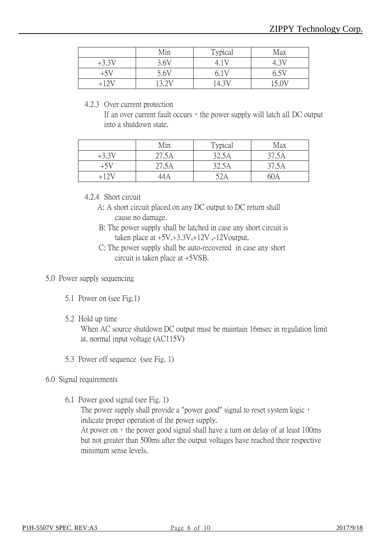|         | Min   | Typical | Max   |
|---------|-------|---------|-------|
| $+3.3V$ | 3.6V  | 4 I V   |       |
| $+5V$   | 5.6V  | 6.1V    | 6.5V  |
| +12V    | 12 IN | 14.31   | 15.0V |

#### 4.2.3 Over current protection

If an over current fault occurs, the power supply will latch all  $DC$  output into a shutdown state.

|         | Min   | Typical | Max   |
|---------|-------|---------|-------|
| $+3.3V$ | 27.5A | 32.5A   | 37.5A |
| $+5V$   | 27.5A | 32.5A   | 37.5A |
| +12V    |       | 52A     | 60A   |

## 4.2.4 Short circuit

- A: A short circuit placed on any DC output to DC return shall cause no damage.
- B: The power supply shall be latched in case any short circuit is taken place at  $+5V, +3.3V, +12V, -12V$ output.
- C: The power supply shall be auto-recovered in case any short circuit is taken place at +5VSB.

## 5.0 Power supply sequencing

- 5.1 Power on (see Fig.1)
- 5.2 Hold up time

When AC source shutdown DC output must be maintain 16msec in regulation limit at. normal input voltage (AC115V)

5.3 Power off sequence (see Fig. 1)

## 6.0 Signal requirements

6.1 Power good signal (see Fig. 1)

The power supply shall provide a "power good" signal to reset system logic, indicate proper operation of the power supply.

At power on, the power good signal shall have a turn on delay of at least 100ms but not greater than 500ms after the output voltages have reached their respective minimum sense levels.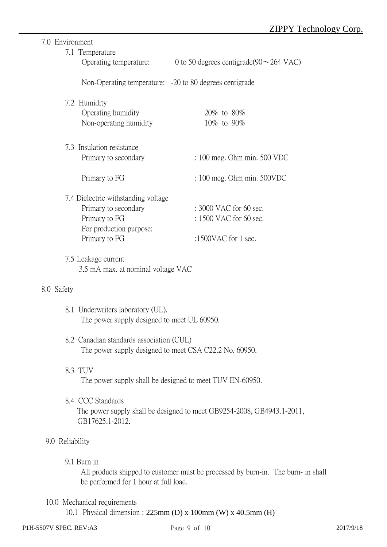## 7.0 Environment

|                 | 7.1 Temperature                             |                                                                                   |
|-----------------|---------------------------------------------|-----------------------------------------------------------------------------------|
|                 | Operating temperature:                      | 0 to 50 degrees centigrade(90 $\sim$ 264 VAC)                                     |
|                 |                                             | Non-Operating temperature: -20 to 80 degrees centigrade                           |
|                 | 7.2 Humidity                                |                                                                                   |
|                 | Operating humidity                          | 20\% to 80\%                                                                      |
|                 | Non-operating humidity                      | 10\% to 90\%                                                                      |
|                 |                                             |                                                                                   |
|                 | 7.3 Insulation resistance                   |                                                                                   |
|                 | Primary to secondary                        | $: 100$ meg. Ohm min. 500 VDC                                                     |
|                 | Primary to FG                               | $: 100$ meg. Ohm min. $500VDC$                                                    |
|                 | 7.4 Dielectric withstanding voltage         |                                                                                   |
|                 | Primary to secondary                        | $: 3000$ VAC for 60 sec.                                                          |
|                 | Primary to FG                               | : 1500 VAC for 60 sec.                                                            |
|                 | For production purpose:                     |                                                                                   |
|                 | Primary to FG                               | :1500VAC for 1 sec.                                                               |
|                 |                                             |                                                                                   |
|                 | 7.5 Leakage current                         |                                                                                   |
|                 | 3.5 mA max. at nominal voltage VAC          |                                                                                   |
| 8.0 Safety      |                                             |                                                                                   |
|                 | 8.1 Underwriters laboratory (UL).           |                                                                                   |
|                 | The power supply designed to meet UL 60950. |                                                                                   |
|                 | 8.2 Canadian standards association (CUL)    |                                                                                   |
|                 |                                             | The power supply designed to meet CSA C22.2 No. 60950.                            |
|                 | 8.3 TUV                                     |                                                                                   |
|                 |                                             | The power supply shall be designed to meet TUV EN-60950.                          |
|                 |                                             |                                                                                   |
|                 | 8.4 CCC Standards                           |                                                                                   |
|                 |                                             | The power supply shall be designed to meet GB9254-2008, GB4943.1-2011,            |
|                 | GB17625.1-2012.                             |                                                                                   |
| 9.0 Reliability |                                             |                                                                                   |
|                 | 9.1 Burn in                                 |                                                                                   |
|                 |                                             | All products shipped to customer must be processed by burn-in. The burn- in shall |
|                 | be performed for 1 hour at full load.       |                                                                                   |
|                 |                                             |                                                                                   |
|                 | 10.0 Mechanical requirements                |                                                                                   |
|                 |                                             | 10.1 Physical dimension : $225 \text{mm}$ (D) x 100mm (W) x 40.5mm (H)            |